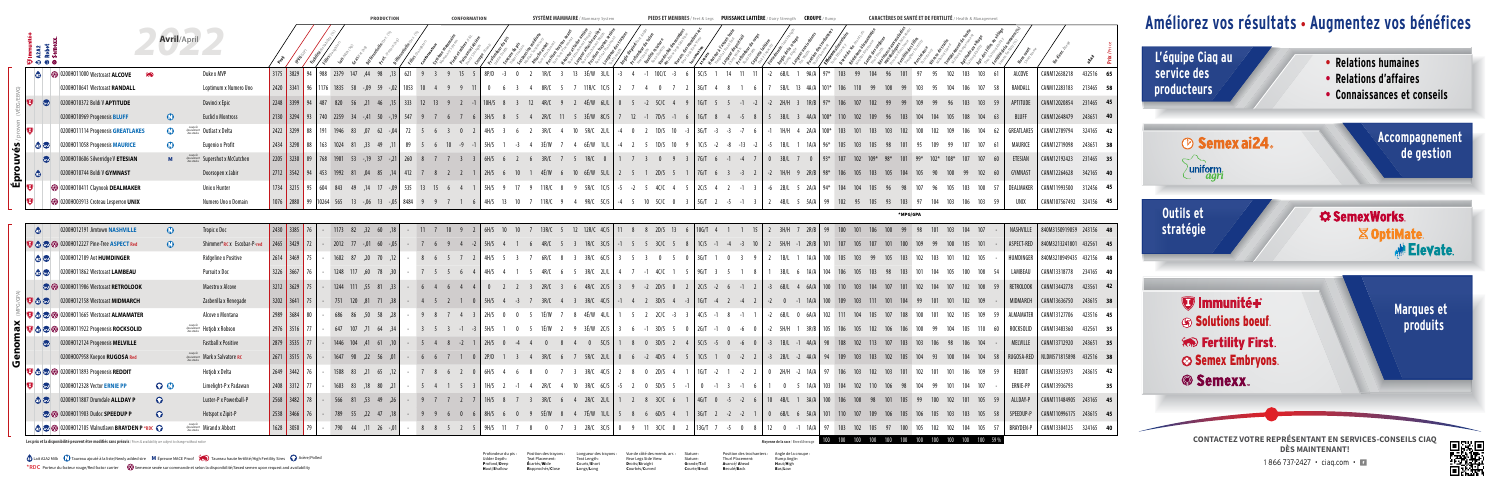Teat Length:<br>**C**ourts/**S**hort Longs/Long

|               |                                                |                                                                                                                              |                    |                                                                        |                                                                                 |                      |          | <b>PRUDUCIIUN</b>       |             |               |                   | <b>CUNFURMATION</b> |                            |          | <b>SISIEME MAMMAINE</b> |                                                                                                                                          |  |                 |                          |                |                              |                                                                 |             |           |     | (ANALIENE) VE JANIE EI VE FENIILIIE |            |  |                   |            |                                           |                  |
|---------------|------------------------------------------------|------------------------------------------------------------------------------------------------------------------------------|--------------------|------------------------------------------------------------------------|---------------------------------------------------------------------------------|----------------------|----------|-------------------------|-------------|---------------|-------------------|---------------------|----------------------------|----------|-------------------------|------------------------------------------------------------------------------------------------------------------------------------------|--|-----------------|--------------------------|----------------|------------------------------|-----------------------------------------------------------------|-------------|-----------|-----|-------------------------------------|------------|--|-------------------|------------|-------------------------------------------|------------------|
|               | ---mur<br>A2A2<br>Sam:-<br>Sam:-<br>$D0$ 0 $0$ |                                                                                                                              | <b>Avril/April</b> |                                                                        |                                                                                 |                      |          |                         |             |               |                   |                     |                            |          |                         |                                                                                                                                          |  |                 |                          |                |                              |                                                                 |             |           |     |                                     |            |  |                   |            |                                           |                  |
|               |                                                | 2 0200H011000 Westcoast ALCOVE                                                                                               | <b>RAD</b>         | Duke x MVP                                                             | 3175 3829 94 988 2379 147 ,44 98                                                |                      |          |                         |             |               | 9 3 9 15          |                     |                            |          |                         |                                                                                                                                          |  | 10C/C           |                          |                |                              | $6B/L$ 1                                                        | 9A/A        |           |     |                                     |            |  | 103 103 61        | ALCOVE     | CANM12638218                              | 432516 65        |
|               |                                                | 0200H010641 Westcoast RANDALL                                                                                                |                    | Loptimum x Numero Uno                                                  | 2420 3341 96 1176 1835                                                          |                      | 58 -.09  |                         |             |               |                   |                     |                            |          |                         |                                                                                                                                          |  |                 |                          |                | $3G/T$ 4 8 1 6               | 5B/L 13 4A/A 101*                                               |             |           |     |                                     |            |  |                   | RANDALL    | CANM12283183                              | 213465 58        |
|               | <b>Lud</b>                                     | 0200H010372 Boldi V APTITUDE                                                                                                 |                    | Davinci x Epic                                                         | 2248 3399 94 487 820                                                            |                      | $56$ .21 |                         | $\vert$ 333 | $12 \t13 \t9$ |                   |                     |                            |          |                         | 4É/W 6L/L 0                                                                                                                              |  |                 |                          |                | $-2$ 5C/C 4 9 1G/T 5 5 -1 -2 | $2H/H$ 3                                                        | $1R/B$ 97*  |           |     |                                     |            |  |                   | APTITUDE   | CANM12020854                              | 231465 45        |
|               |                                                | 0200H010969 Progenesis BLUFF                                                                                                 | $\mathbf{C}$       | Euclid x Montross                                                      | 2130   3294   93   740   2259   34   -,41   50   -,19   547                     |                      |          |                         |             |               |                   |                     |                            | 2R/C     |                         | 3É/W 8C/S   7 12 -1 7D/S -1 6   1G/T 8 4 -5 8                                                                                            |  |                 |                          |                |                              | 5 $3B/L$ 3 $4A/A$ 100*                                          |             |           |     |                                     |            |  |                   | BLUFF      | CANM12648479                              | 243651 40        |
|               |                                                | 0200H011114 Progenesis GREATLAKES                                                                                            |                    | $\frac{Jusqu\ddot{\theta}}{desstocks}$ Outlast x Delta                 | 2422   3299   88   191   1946   83   07                                         |                      |          | $62 - 04$               |             |               |                   |                     |                            |          |                         | 5R/C<br>2L/L                                                                                                                             |  |                 | 1D/S 10 $-3$ 3G/T        | $-3$ $-3$ $-7$ |                              | 1H/H 4 2A/A 100*                                                |             |           |     |                                     |            |  |                   | GREATLAKES | CANM12789794                              | 324165 <b>42</b> |
|               | <b>@ W</b>                                     | 0200H011058 Progenesis MAURICE                                                                                               |                    | Eugenio x Profit                                                       | 2434 3298 88 163 1024 81 .33                                                    |                      |          |                         |             |               |                   |                     |                            |          |                         |                                                                                                                                          |  | 1D/S            |                          |                |                              | 1B/L                                                            |             |           |     |                                     |            |  |                   | MAURICE    | CANM12719098                              | 243651 38        |
|               |                                                | 0200H010606 Silverridge V ETESIAN                                                                                            |                    | $\frac{f_{\text{target}}}{f_{\text{desstocks}}}$ Supershot x McCutchen | 2205 3230 89 768 1901 53 -,19 37 -,21 260                                       |                      |          |                         |             |               |                   |                     |                            |          |                         | 1R/C                                                                                                                                     |  |                 |                          |                | $9 \t3 \t76/T \t6 -1 -4 \t7$ | 0 $3B/L$ 7 0 $93*$                                              |             |           |     |                                     |            |  |                   | ETESIAN    | CANM12192423                              | 231465 35        |
|               |                                                | 0200H010744 Boldi V GYMNAST                                                                                                  |                    | Doorsopen x Jabir                                                      | 2712   3542   94   453   1992   81   04   85   14   412   7   8   2   2         |                      |          |                         |             |               |                   |                     | $12H/S$ 6                  |          |                         | 4É/W 6 10 6É/W 5L/L   2 5 1 2D/S 5 1   7G/T 6 3 -3 2   -2 1H/H 9 2R/B   98*                                                              |  |                 |                          |                |                              |                                                                 |             |           |     |                                     |            |  |                   | GYMNAST    | CANM12264628                              | 342165 40        |
| É             |                                                | 0200H010411 Claynook DEALMAKER                                                                                               |                    | Unix x Hunter                                                          | 1734 3215 95 604 843 49 14 17 -09                                               |                      |          |                         |             |               | 535 13 15 6 4     |                     | $\frac{1}{5}$ H/S 9        | 11R/G    |                         | $5R/C$ 1C/S $\vert$ -5 -2                                                                                                                |  |                 | $4C/C$ 4 5 $2C/S$ 4 2 -1 |                |                              | $-6$ 2B/L 5 2A/A 94*                                            |             | 104       |     |                                     |            |  |                   |            | DEALMAKER   CANM11993500                  | 312456 45        |
|               |                                                | 0200H003913 Croteau Lesperron UNIX                                                                                           |                    | Numero Uno x Domain                                                    | 1076 2880 99 10264 565 13 -.06 13                                               |                      |          |                         | $-.05$ 8484 |               |                   |                     | 6 4H/S 13 10               |          |                         | 9R/C 5C/S $-4$ 5                                                                                                                         |  | $5C/C \qquad 0$ | $\frac{1}{5}$ 5G/T       |                |                              | 4B/L 5 5A/A I                                                   |             | 99 102 95 |     |                                     |            |  |                   | UNIX       | CANM107567492 324156 45                   |                  |
|               |                                                |                                                                                                                              |                    |                                                                        |                                                                                 |                      |          |                         |             |               |                   |                     |                            |          |                         |                                                                                                                                          |  |                 |                          |                |                              |                                                                 |             |           |     |                                     | *MPG/GPA   |  |                   |            |                                           |                  |
|               | $\bullet$                                      | 0200H012191 Jimtown NASHVILLE                                                                                                | $\mathbf{C}$       | Tropic x Doc                                                           | $\begin{array}{ c c c c c c c c c } \hline 2430 & 3385 & 76 \hline \end{array}$ |                      |          | 1173 82 ,32 60 ,18      |             |               |                   |                     | $-$ 11 7 10 9 2 6H/S 10 10 |          |                         | 13R/C 5 12 12R/C 4C/S 11 8 8 2D/S 13 6 10G/T 4 1 1 15                                                                                    |  |                 |                          |                |                              | $3H/H$ 7 $2R/B$ 99                                              |             |           |     |                                     |            |  |                   |            | NASHVILLE 840M3150919059 243156 48        |                  |
|               |                                                | <b>D @ @</b> 0200H012227 Pine-Tree ASPECT Red                                                                                | $\mathbf{C}$       | Shimmer*RC x Escobar-P-red                                             | 2465   3429   72                                                                |                      |          | $2012$ 77 -,01 60 -,05  |             |               |                   |                     | $-7$ 6 9 4 -2 5H/S 4 1 6   |          |                         | 4R/C 5 3 1R/C 3C/S   -1 5 5 3C/C 5 8   1C/S -1 -4 -3 10   2 5H/H -1 2R/B   101 107                                                       |  |                 |                          |                |                              |                                                                 |             |           |     |                                     |            |  |                   |            | ASPECT-RED 840M3213241801 432561 45       |                  |
|               |                                                | <b>ED</b> 3000H012189 Aot <b>HUMDINGER</b>                                                                                   |                    | Ridgeline x Positive                                                   | $2614$ 3469 75                                                                  |                      |          | 1602 87 ,20 70 .12      |             |               | 8 6 5 7 2 4H/S    |                     |                            |          |                         | $3R/C$ 6C/S                                                                                                                              |  |                 |                          |                | 5 0 3 G/T 1 0 3 9 2          | $1B/L$ 1                                                        | 1A/A        | 100 105   | 103 |                                     |            |  | 102 105           |            | HUMDINGER 840M3218949435 432156 48        |                  |
|               |                                                | <b>B CD</b> 0200H011862 Westcoast LAMBEAU                                                                                    |                    | Pursuit x Doc                                                          | $3226$ 3667 76                                                                  |                      |          | 1248 117 ,60 78 ,30     |             |               | $-7$ 5 5 6 4 4H/S |                     |                            |          |                         | $3R/C$ $2L/L$                                                                                                                            |  | $4C/C$ 1        |                          |                | ;   9G/T 3 5 1 8             | $3B/L$ 6 $1A/A$                                                 |             |           |     |                                     |            |  |                   | LAMBEAU    | CANM13318778 234165 40                    |                  |
|               |                                                | <b>CO</b> 0200H011986 Westcoast RETROLOOK                                                                                    |                    | Maestro x Alcove                                                       | $3212$ 3629 75                                                                  |                      |          |                         |             |               | $-6$ 4 6 4 4 0    |                     |                            | 2R/C     |                         |                                                                                                                                          |  |                 |                          |                |                              | 4R/C 2C/S 3 9 -2 2D/S 0 2 2C/S -2 6 -1 2 -3 6B/L 4 6A/A 100 110 |             |           |     |                                     |            |  |                   |            | RETROLOOK   CANM13442778 423561 <b>42</b> |                  |
|               |                                                | <b>D</b> as <b>by</b> 0200H012158 Westcoast MIDMARCH                                                                         |                    | Zasberilla x Renegade                                                  | 3202 3641 75                                                                    |                      |          |                         |             |               |                   |                     |                            |          |                         | - 751 120 ,81 71 ,38   -  4 5 2 1 0  SH/S 4 -3 7 3R/C 4 3 3R/C 4C/S  -1 4 2 3D/S 4 -3  1G/T -4 2 -4 2  -2 0 -1 1A/A  100 109 103 111 101 |  |                 |                          |                |                              |                                                                 |             |           |     |                                     |            |  | 102 109           |            | MIDMARCH   CANM13636750 243615 38         |                  |
|               |                                                | <b>V &amp; © 0200H011665 Westcoast ALMAMATER</b>                                                                             |                    | Alcove x Montana                                                       | 2989 3684 80                                                                    |                      |          | 686 86 .50 58 .28       |             |               |                   |                     |                            |          |                         | - 9 8 7 4 3 2H/S 0 0 5 1É/W 7 8 4É/W 4L/L   1 5 2 2C/C -3 3   4C/S -1 8 -1 1   -2 6B/L 0 6A/A   102 111 104                              |  |                 |                          |                |                              |                                                                 |             |           |     |                                     |            |  | - 59              |            | ALMAMATER   CANM13127706 423516 45        |                  |
|               |                                                | $\delta$ $\sigma$ $\sigma$ $\sigma$ $\omega$ 0200H011922 Progenesis <b>ROCKSOLID</b>                                         |                    | $\epsilon_{\text{puisement}}^{\text{Jusqu'à}}$ Hotjob x Robson         | 2976 3516 77                                                                    |                      |          | 34, 64 71, 107 64       |             |               |                   |                     |                            |          |                         | - 3 5 3 -1 -3 5 5H/S 1 0 5 1É/W 2 9 3É/W 2C/S 3 6 -1 3D/S 5 0 2G/T -1 0 -6 0 -2 5H/H 1 3R/B 105 106 105                                  |  |                 |                          |                |                              |                                                                 |             |           | 102 | 106                                 |            |  | 105 110 60        |            |                                           |                  |
| ᅙ<br>이        |                                                | 0200H012124 Progenesis MELVILLE                                                                                              |                    | <b>Fastball x Positive</b>                                             | 2879   3535   77                                                                |                      |          | $-$ 1446 104 ,41 61 ,10 |             |               |                   |                     | $-5$ 4 8 -2 1 2H/S 0 -4    |          |                         | 4  0  8  4  0  5C/S   1  8  0  3D/S  2  4    5C/S  -5  0  -6  0   -3  1B/L  -1  4A/A   98  108  102  113  107                            |  |                 |                          |                |                              |                                                                 |             |           |     |                                     |            |  | 106 104           |            | MELVILLE   CANM13712920 243651 35         |                  |
|               |                                                | 0200H007958 Koepon RUGOSA Red                                                                                                |                    |                                                                        | 2671 3515 76                                                                    |                      |          | $-1647$ 90 ,22 56 ,01   |             |               |                   |                     |                            |          |                         | - 6 6 7 1 0 2P/D 1 3 4 3R/C 6 7 5R/C 2L/L 0 6 -2 4D/S 4 5 1C/S 1 0 -2 2   -3 2B/L -2 4A/A   94 109 103 103                               |  |                 |                          |                |                              |                                                                 |             |           |     | 102                                 | 104<br>105 |  | 93 100 104 104 58 |            | RUGOSA-RED   NLDM571815898 432516 38      |                  |
| $\frac{6}{5}$ |                                                |                                                                                                                              |                    |                                                                        |                                                                                 |                      |          |                         |             |               |                   |                     |                            |          |                         |                                                                                                                                          |  |                 |                          |                |                              |                                                                 |             |           |     |                                     |            |  |                   |            |                                           |                  |
|               |                                                | <b>V &amp; &amp;</b> 0200H011893 Progenesis REDDIT                                                                           |                    | Hotjob x Delta                                                         | 2649 3442 76                                                                    | - 1508 83 ,21 65 ,12 |          |                         |             |               |                   |                     |                            |          |                         | - 7 8 6 2 0 6H/S 4 6 8 0 7 3 3R/C 4C/S 2 8 0 2D/S 4 1 1G/T -2 1 -2 2 0 2H/H -2 1A/A 97 106 103                                           |  |                 |                          |                |                              |                                                                 |             |           | 102 | 103                                 | 102        |  | 101 106 109 59    | REDDIT     | CANM13353973 243615 42                    |                  |
|               | $\mathbf{b}$                                   | 0200H012328 Vector <b>ERNIE PP</b>                                                                                           | $O$ $\bullet$      | Limelight-P x Padawan                                                  | 2408 3312 77                                                                    |                      |          | $-$ 1603 83 ,18 80 ,21  |             |               |                   |                     | $-5$ 4 1 5 3 1 1 H/S 2     |          | 2R/C 4                  | 10 $3R/C$ 6C/S $-5$ 2                                                                                                                    |  |                 |                          |                | 0 5D/S 5 -1 0 -1 3 -1 6 1    | $0 \quad 5$                                                     | 1A/A<br>103 |           |     |                                     |            |  | 104 107           | ERNIE-PP   | CANM13936793                              | 35               |
|               |                                                | <b>B C</b> 0200H011887 Drumdale ALLDAY P                                                                                     | $\Omega$           | Luster-P x Powerball-P                                                 | 2568 3482 78                                                                    |                      |          | 566 81 ,53 49 ,26       |             |               |                   |                     | $-9$ 7 7 2 7 1H/S 8 7 3    | $3R/C$ 6 |                         | 4 2R/C 2L/L   1 2 8 3C/C 6 1   4G/T 0 -5 -2 6   10 4B/L 1                                                                                |  |                 |                          |                |                              |                                                                 | $3A/A$ 100  |           |     |                                     |            |  |                   |            | ALLDAY-P   CANM111484905 243165 45        |                  |
|               |                                                | <b>O</b> 0200H011903 Dudoc SPEEDUP P                                                                                         | $\Omega$           | Hotspot x Zipit-P                                                      | 2538 3466 76                                                                    |                      |          | $-789$ 55, 22 47, 18    |             |               |                   |                     |                            |          |                         | $-$ 9 9 6 0 6 8H/S 6 0 9 5É/W 8 4 7É/W 1L/L 5 8 6 6D/S 4 1 3G/T 2 -2 -2 1 0 6B/L 6 5A/A 101 110                                          |  |                 |                          |                |                              |                                                                 |             |           |     |                                     |            |  |                   |            | SPEEDUP-P   CANM110996175 243615 45       |                  |
|               |                                                | <b>O</b> 0200H012105 Walnutlawn BRAYDEN P *RDC                                                                               |                    | <i>Epuisement</i> Mirand x Abbott                                      | 1628 3050 79                                                                    |                      |          | 790 44 ,11 26 -,01      |             |               | - 8 8 5 2         |                     |                            |          |                         | 2R/C                                                                                                                                     |  |                 |                          |                | $3C/C$ 0 2   13G/T 7 -5 0 8  | $12 \t 0 \t -1 \t 1A/A$                                         |             |           |     |                                     |            |  |                   |            | BRAYDEN-P   CANM13304125 324165 40        |                  |
|               |                                                | Les prix et la disponibilité peuvent être modifiés sans préavis / Prices & availability are subject to change without notice |                    |                                                                        |                                                                                 |                      |          |                         |             |               |                   |                     |                            |          |                         |                                                                                                                                          |  |                 |                          |                |                              | Moyenne de la race / Breed Averag                               |             |           |     |                                     |            |  |                   |            |                                           |                  |

**es prix et la disponibilité peuvent être modifiés sans préavis** / Prices & availability are subject to change w

Position des trayons : Teat Placement: Écartés/Wide Longueur des trayons : Vue de côté des memb. arr. : Rear Legs Side View: Droits/Straight Courbés/Curved

Stature : Stature: Grande/Tall Courte/Small Thurl Placement: Avancé/ Ahead Reculé/Back

Position des trochanters : Angle de la croupe : Rump Angle:<br>**H**aut/**H**igh Bas/Low

**DÈS MAINTENANT!**

## **Améliorez vos résultats • Augmentez vos bénéfices**  $\overline{\phantom{a}}$ **Prix /**Price **L'équipe Ciaq au • Relations humaines**  $\overline{\phantom{a}}$ **service des • Relations d'affaires producteurs • Connaissances et conseils Accompagnement**  *<sup>⊙</sup> Semex ai24* **de gestion**  $\sum_{\substack{uniform.}}$ **Outils et SemexWorks stratégie** X OptiMate **Elevate V**Immunité+ **Marques et** Solutions boeur **produits Red Fertility First.** Semex Embryons. **Semexx CONTACTEZ VOTRE REPRÉSENTANT EN SERVICES-CONSEILS CIAQ**



1 866 737-2427 • ciaq.com • 1